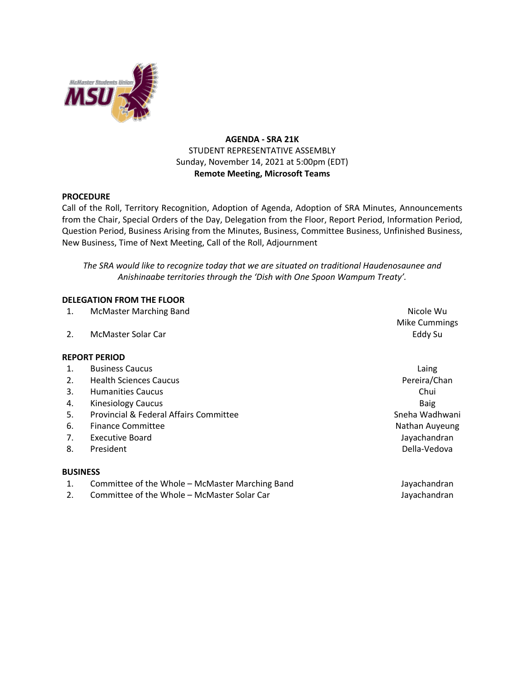

# **AGENDA - SRA 21K** STUDENT REPRESENTATIVE ASSEMBLY Sunday, November 14, 2021 at 5:00pm (EDT) **Remote Meeting, Microsoft Teams**

### **PROCEDURE**

Call of the Roll, Territory Recognition, Adoption of Agenda, Adoption of SRA Minutes, Announcements from the Chair, Special Orders of the Day, Delegation from the Floor, Report Period, Information Period, Question Period, Business Arising from the Minutes, Business, Committee Business, Unfinished Business, New Business, Time of Next Meeting, Call of the Roll, Adjournment

*The SRA would like to recognize today that we are situated on traditional Haudenosaunee and Anishinaabe territories through the 'Dish with One Spoon Wampum Treaty'.*

### **DELEGATION FROM THE FLOOR**

1. McMaster Marching Band Nicole Wu and Nicole Wu and Nicole Wu and Nicole Wu and Nicole Wu and Nicole Wu and Nicole Wu and Nicole Wu and Nicole Wu and Nicole Wu and Nicole Wu and Nicole Wu and Nicole Wu and Nicole Wu and

2. McMaster Solar Car Eddy Su

#### **REPORT PERIOD**

- 1. Business Caucus **Laing**
- 2. Health Sciences Caucus **Pereira/Chan**
- 3. Humanities Caucus Chui
- 4. Kinesiology Caucus Baig
- 5. Provincial & Federal Affairs Committee Sneha Wadhwani Sneha Wadhwani
- 6. Finance Committee Nathan Auyeung States and The Nathan Auyeung Nathan Auyeung
- 7. Executive Board **Jayachandran**
- 8. President and the set of the set of the set of the set of the Della-Vedova

#### **BUSINESS**

- 1. Committee of the Whole McMaster Marching Band Jayachandran
- 2. Committee of the Whole McMaster Solar Car June 1998 and The Mayachandran
- Mike Cummings
-